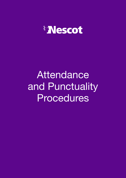

# Attendance and Punctuality Procedures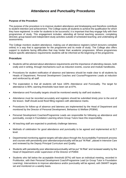## **Attendance and Punctuality Procedures**

#### **Purpose of the Procedure**

The purpose of the procedure is to improve student attendance and timekeeping and therefore contribute to student retention and achievement. The College wants all students to achieve the qualification for which they have registered. In order for students to be successful, it is important that they engage fully with their programmes of study. This engagement includes: attending all formal teaching sessions; completing directed, group-based and independent study activities outside of scheduled teaching; and undertaking all assessments.

The College monitors student attendance, making use of attendance registers (which lecturers complete online) in a way that is appropriate for the programme and its mode of study. The College also offers support to students facing difficulties that may hinder their academic progression. Where programmes feature specific attendance requirements students will be informed at the beginning of the programme.

#### **Procedure**

- Students will be advised about attendance requirements and the importance of attending classes, both orally and in writing, through mechanisms such as induction events, course and module handbooks.
- Procedures for student notification of absence and lateness should be made clear to all students by Heads of Department, Personal Development Coaches and Course/Programme Leads at induction and reinforced by all staff.
- The expectation is that all students will have 100% Attendance and Punctuality. The target for attendance is 90%; warning thresholds have been set at 87%.
- Attendance and Punctuality targets should be monitored weekly by staff and students.
- Attendance must be recorded accurately and registers should be submitted timely prior to the end of the lesson. Staff should avoid flood filling registers with attendance marks.
- Procedures for follow-up of absence and lateness are implemented by the Head of Department and monitored by the Director of Personal Development, Behaviour & Welfare (PDBW).
- Personal Development Coaches/Programme Leads are responsible for following up attendance and punctuality, except in Foundation Learning where Group Tutors have this responsibility.
- All teaching staff are expected to positively challenge lateness.
- Methods of celebration for good attendance and punctuality to be agreed and implemented at ELT level.
- Departmental monitoring against targets will take place through the Accountability Framework process and courses with persistently poor attendance/punctuality will be put "At Risk", placed in Intensive Care and reviewed by the Deputy Principal Curriculum and Quality.
- Students with persistently poor attendance/punctuality will be put "At Risk" and reviewed weekly by the Head of Department under supervision of the Director of PDBW.
- Students who fall below the acceptable threshold (87%) will have an individual meeting, recorded in ProMonitor, with their Personal Development Coach/Programme Lead (or Group Tutor in Foundation Learning). Interventions to improve attendance and/or punctuality will be agreed, with SMART targets set and monitored on a weekly basis.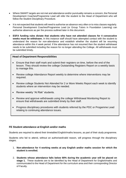- Where SMART targets are not met and attendance and/or punctuality remains a concern, the Personal Development Coaches/Programme Lead will refer the student to the Head of Department who will follow the Student Disciplinary Procedure.
- It is not expected that students will need to authorise an absence very often or to miss classes regularly. Personal Development Coaches/Programme Lead (or Group Tutors in Foundation Learning) can authorise absences as per the process outlined later in this document.
- **ESFA funding rules dictate that students who have not attended classes for 4 consecutive weeks must be withdrawn.** In this instance staff should have attempted contact with the student to understand the reason for non-attendance and establish whether the student will be resuming attendance within this 4 week period. If the attendance has not resumed then the student withdrawal needs to be submitted including the reason for no longer attending the College. All withdrawals must be submitted timely.

#### **Head of Department Responsibilities**

- Ensure that their staff mark and submit their registers on time, before the end of the lesson. They should review the college Outstanding Registers Report on a weekly basis to manage this.
- Review college Attendance Report weekly to determine where interventions may be required.
- Review college Students Not Attended for 2 or More Weeks Report each week to identify students where an intervention may be needed.
- Review weekly "At Risk" students.
- Review and approve withdrawals using the college Withdrawal Monitoring Report to ensure that withdrawals are submitted timely by their staff.
- Progress disciplinary procedures with students referred by the PDC or Progamme Lead relating to continuing attendance issues.

#### **FE Student attendance at English and/or maths**

Students are required to attend their timetabled English/maths lessons, as part of their study programme.

Students who fail to attend, without an authorised/valid reason, will progress through the disciplinary stages.

- 1. **Non-attendance for 4 working weeks at any English and/or maths session for which the student is enrolled.**
- 2. **Students whose attendance falls below 80% during the academic year will be placed on stage 1.** These students are to be identified by the Head of Department for English/maths and communicated to the Head of Department for the curriculum area and their corresponding Director of Faculty.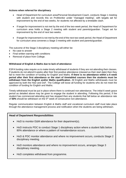#### **Actions when referred for disciplinary**

- Head of Department for curriculum area/Personal Development Coach, conducts Stage 1 meeting with student and records this on ProMonitor under "managed meeting", with targets set for improvement by the end of two weeks, for students not affected by a timetable clash.
- If target for improvement is not met by the end of the two-week period, the Head of Department for curriculum area holds a Stage 2 meeting with student and parents/guardian. Target set for improvement by the end of next two weeks.
- If target for improvement is not met by the end of the next two-week period, the Head of Department for curriculum area convenes a Stage 3 meeting with student and parents/guardian.

The outcome of the Stage 3 disciplinary meeting will either be:

- No case to answer
- Final written warning with conditions
- Removal of place from College.

#### **Withdrawal of English & Maths due to lack of attendance**

ESFA funding rules require us to make timely withdrawal of students if they are not attending their classes. If students do not attend 6 weeks after their first positive attendance (classed as their start date) then they fail to meet the condition of funding for English and Maths. **If there is no attendance within a 6 week period after their first attendance or the start of timetabled courses then the students must be withdrawn from the English and/or Maths qualification.** All English and Maths withdrawals must be approved by both the HoD and DoF. The College will loose all funding for students who do not meet the condition of funding for English and Maths.

Timely withdrawal must be put in place where there is continued non-attendance. The initial 6 week grace period as detailed above may be given to engage the student in attending. Following this period, if the student has commenced attending and has stopped then any students that fall below an attendance rate of **50%** should be withdrawn on the 5th week of consecutive non-attendance.

Regular communication between English & Maths staff and vocational curriculum staff must take place through the attendance management process and notification when the students are being withdrawn.

#### **Head of Department Responsibilities**

- HoD to monitor E&M attendance for their department(s).
- HoD instructs PDC to conduct Stage 1 disciplinary action where a student falls below 80% attendance or where a pattern of nonattendance occurs.
- HoD & PDC monitor attendance and where no improvement occurs, conducts Stage 2 disciplinary meeting.
- HoD monitors attendance and where no improvement occurs, arranges Stage 3 disciplinary meeting.
- HoD completes withdrawal from programme.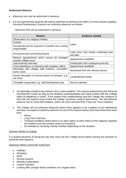#### **Authorised Absence**

- Absences can only be authorised in advance.
- It is not expected that students will need to authorise an absence very often or to miss classes regularly. Personal Development Coaches can authorise absences as follows:

Absences that can be authorised in advance:

| Reason                                                                   | <b>Evidence needed</b>                              |
|--------------------------------------------------------------------------|-----------------------------------------------------|
| Observation of a religious holiday                                       | Letter                                              |
| Funeral                                                                  |                                                     |
| Occasional care for a person if a student has a caring<br>responsibility |                                                     |
| Driving test (but not driving lesson)                                    | Letter from Test Centre confirming time<br>and date |
| Medical appointments which cannot be arranged<br>outside college hours   | Appointment card/letter                             |
| Job/university interview                                                 | Email/Letter from employer/university               |
| Court attendance or interview with probation officer                     | Appointment card/letter                             |
| Interviews with college staff (careers, counsellor,<br>nurse, tutor)     | Note/email from the relevant person                 |
| Severe disruption to normal means of transport, e.g.<br>rail strike      | Local/national media                                |
| Timetable suspended, e.g. staff development day                          | Nescot calendar                                     |

- Occasionally a student may need to miss a class suddenly. This may be authorised by the Personal Development Coach as long as the student's parent/guardian has made contact with the College either by telephone or email. If the student lives independently (and the College has evidence of this) then the student must contact the College, by phone, email or Nescomms. We will authorise absence due to Covid Self-Isolation, where we have received NHS Track and Trace evidence.
- The College will not authorise absences where there appears to be a pattern of non-attendance and does not expect to authorise absence for any of the reasons below more than three times each term:
	- o Illness
	- o Long Term Sickness
	- $\circ$  Transport problems where there is no other option at short notice (if this happens regularly the student must find another means of transport)
	- o An emergency involving a family member depending on the situation.

#### Sickness Whilst At College

If a student becomes ill during the day they must see the College Nurse before leaving the premises to authorise their absence.

#### Absences Which Cannot Be Authorised

- Holidays
- Shopping
- Work
- Driving Lessons
- **Birthday Celebrations**
- **Leisure Activities**
- Looking after younger family members on a regular basis.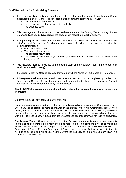#### **Staff Procedure for Authorising Absence**

- If a student applies in advance to authorise a future absence the Personal Development Coach must note this on ProMonitor. The message must contain the following information:
	- o The date/time of the absence
	- o The reason for the absence (e.g. driving test)
	- o The evidence seen.
- This message must be forwarded to the teaching team and the Bursary Team, namely Sharon Greenwood and Jacqui Kavanagh (if the student is in receipt of a weekly bursary).
- If a parent/guardian makes contact on the day to authorise an unexpected absence the Tutor/Personal Development Coach must note this on ProMonitor. The message must contain the following information:
	- o Who has made contact
	- o The date of the absence
	- o The expected return date
	- o The reason for the absence (if sickness, give a description of the nature of the illness rather than just 'sick').
- This message must be forwarded to the teaching team and the Bursary Team (if the student is in receipt of a weekly bursary).
- If a student is leaving College because they are unwell, the Nurse will put a note on ProMonitor.
- If the register is to be amended to authorised absence then this must be completed by the Personal Development Coach. Unexpected absences will be recorded by the end of each week. Planned absences will be recorded on the day that they occur.

#### **Due to GDPR the evidence does not need to be retained as long as it is recorded as seen on ProMonitor.**

#### Students in Receipt of Weekly Bursary Payments

Bursary payments are dependent on attendance and are paid weekly in arrears. Students who have 90% (80% young carers) or more attendance in the previous week will automatically receive their weekly bursary payment. Any student who does not have 90% attendance will only receive a payment if, in the previous week, they have some attendance and have authorised any absences with their Progress Coach. If the student has unauthorised absences they will not receive a payment.

The Bursary Team will keep a record of all the ProMonitor comments received and use this information to determine if a payment should be made or not. If a payment is not to be made the student will be notified and encouraged to discuss their unauthorised absence with their Personal Development Coach. Personal Development Coaches will also be notified weekly of their students not due to be paid and will be given until 3.30pm the next day to inform the Bursary Team if a payment should be made.